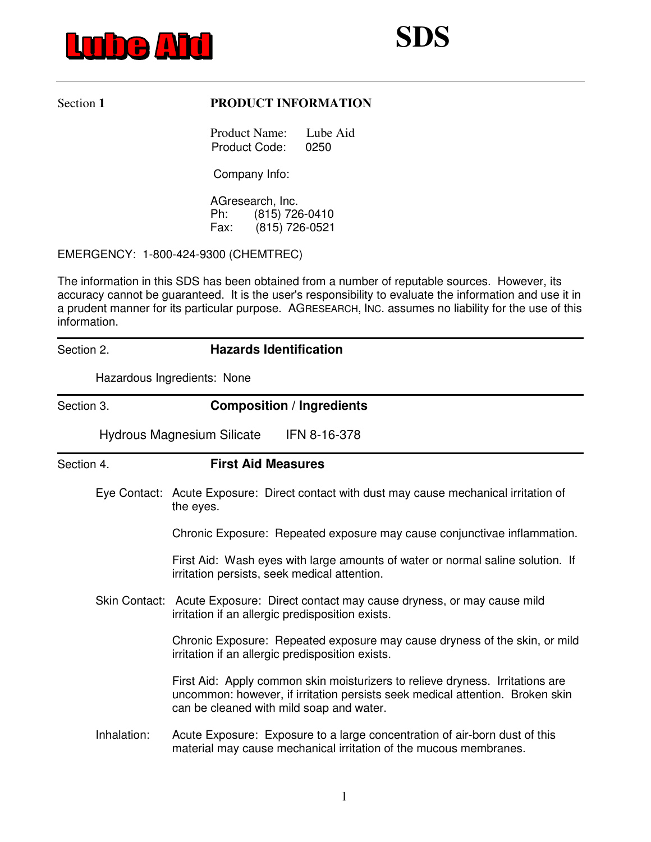

## Section 1 **PRODUCT INFORMATION**

 Product Name: Lube Aid Product Code: 0250

Company Info:

 AGresearch, Inc. Ph: (815) 726-0410 Fax: (815) 726-0521

EMERGENCY: 1-800-424-9300 (CHEMTREC)

The information in this SDS has been obtained from a number of reputable sources. However, its accuracy cannot be guaranteed. It is the user's responsibility to evaluate the information and use it in a prudent manner for its particular purpose. AGRESEARCH, INC. assumes no liability for the use of this information.

## Section 2. **Hazards Identification**

Hazardous Ingredients: None

## Section 3. **Composition / Ingredients**

Hydrous Magnesium Silicate IFN 8-16-378

Section 4. **First Aid Measures**  Eye Contact: Acute Exposure: Direct contact with dust may cause mechanical irritation of the eyes. Chronic Exposure: Repeated exposure may cause conjunctivae inflammation. First Aid: Wash eyes with large amounts of water or normal saline solution. If irritation persists, seek medical attention. Skin Contact: Acute Exposure: Direct contact may cause dryness, or may cause mild irritation if an allergic predisposition exists. Chronic Exposure: Repeated exposure may cause dryness of the skin, or mild irritation if an allergic predisposition exists. First Aid: Apply common skin moisturizers to relieve dryness. Irritations are uncommon: however, if irritation persists seek medical attention. Broken skin can be cleaned with mild soap and water. Inhalation: Acute Exposure: Exposure to a large concentration of air-born dust of this material may cause mechanical irritation of the mucous membranes.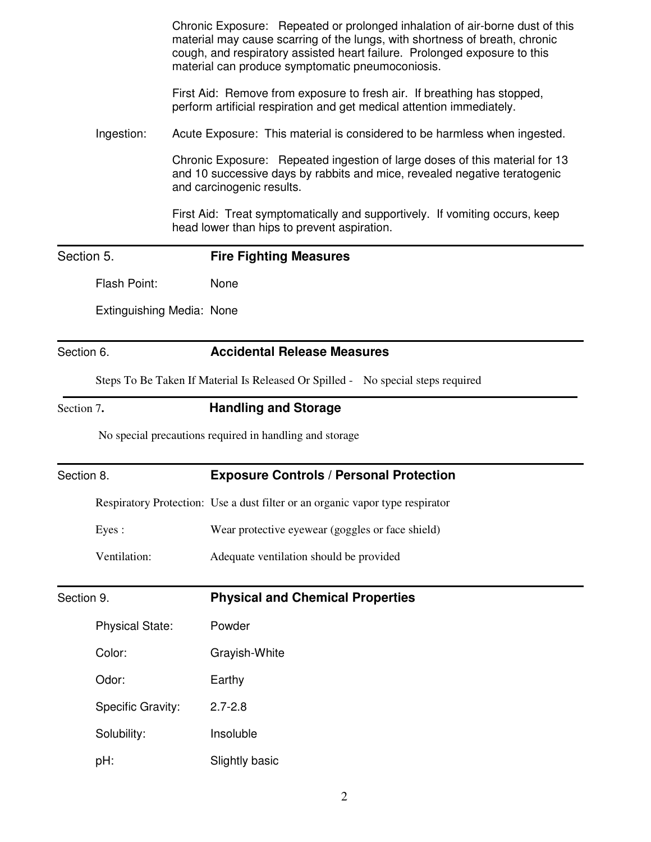|            |                           | Chronic Exposure: Repeated or prolonged inhalation of air-borne dust of this<br>material may cause scarring of the lungs, with shortness of breath, chronic<br>cough, and respiratory assisted heart failure. Prolonged exposure to this<br>material can produce symptomatic pneumoconiosis. |
|------------|---------------------------|----------------------------------------------------------------------------------------------------------------------------------------------------------------------------------------------------------------------------------------------------------------------------------------------|
|            |                           | First Aid: Remove from exposure to fresh air. If breathing has stopped,<br>perform artificial respiration and get medical attention immediately.                                                                                                                                             |
|            | Ingestion:                | Acute Exposure: This material is considered to be harmless when ingested.                                                                                                                                                                                                                    |
|            |                           | Chronic Exposure: Repeated ingestion of large doses of this material for 13<br>and 10 successive days by rabbits and mice, revealed negative teratogenic<br>and carcinogenic results.                                                                                                        |
|            |                           | First Aid: Treat symptomatically and supportively. If vomiting occurs, keep<br>head lower than hips to prevent aspiration.                                                                                                                                                                   |
| Section 5. |                           | <b>Fire Fighting Measures</b>                                                                                                                                                                                                                                                                |
|            | Flash Point:              | None                                                                                                                                                                                                                                                                                         |
|            | Extinguishing Media: None |                                                                                                                                                                                                                                                                                              |
| Section 6. |                           | <b>Accidental Release Measures</b>                                                                                                                                                                                                                                                           |
|            |                           | Steps To Be Taken If Material Is Released Or Spilled - No special steps required                                                                                                                                                                                                             |
| Section 7. |                           | <b>Handling and Storage</b>                                                                                                                                                                                                                                                                  |
|            |                           | No special precautions required in handling and storage                                                                                                                                                                                                                                      |
| Section 8. |                           | <b>Exposure Controls / Personal Protection</b>                                                                                                                                                                                                                                               |
|            |                           | Respiratory Protection: Use a dust filter or an organic vapor type respirator                                                                                                                                                                                                                |
|            | Eyes:                     | Wear protective eyewear (goggles or face shield)                                                                                                                                                                                                                                             |
|            | Ventilation:              | Adequate ventilation should be provided                                                                                                                                                                                                                                                      |
| Section 9. |                           | <b>Physical and Chemical Properties</b>                                                                                                                                                                                                                                                      |
|            | <b>Physical State:</b>    | Powder                                                                                                                                                                                                                                                                                       |
|            | Color:                    | Grayish-White                                                                                                                                                                                                                                                                                |
|            | Odor:                     | Earthy                                                                                                                                                                                                                                                                                       |
|            | Specific Gravity:         | $2.7 - 2.8$                                                                                                                                                                                                                                                                                  |
|            | Solubility:               | Insoluble                                                                                                                                                                                                                                                                                    |
|            | pH:                       | Slightly basic                                                                                                                                                                                                                                                                               |